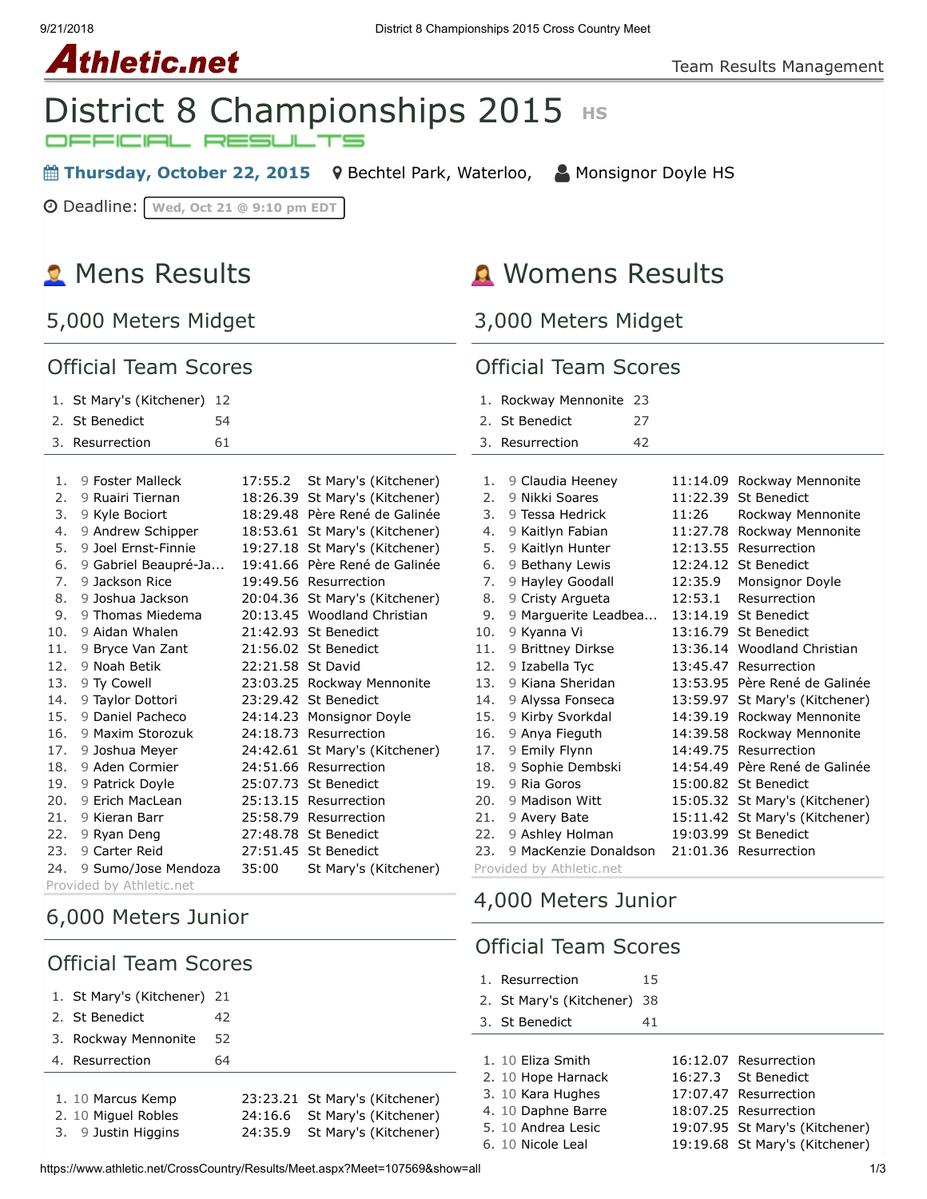9/21/2018 District 8 Championships 2015 Cross Country Meet

**Athletic.net** 

# District 8 Championships 2015 HS

**■ Thursday, October 22, 2015** 9 [Bechtel Park, Waterloo,](https://maps.google.com/maps?saddr=&daddr=Bechtel%20Park,%20185%20Bridge%20St.%20West,%20Waterloo%20N2K%201K8&hl=en) △ [Monsignor Doyle HS](https://www.athletic.net/CrossCountry/School.aspx?SchoolID=27459)

Deadline: **Wed, Oct 21 @ 9:10 pm EDT**

## **R** Mens Results

5,000 Meters Midget

#### Official Team Scores

#### 1. [St Mary's \(Kitchener\)](https://www.athletic.net/CrossCountry/School.aspx?SchoolID=27485) 12

| 2. St Benedict  | 54 |
|-----------------|----|
| 3. Resurrection | 61 |

| 1.  | 9 Foster Malleck         | 17:55.2  | St Mary's (Kitchener) |  |  |
|-----|--------------------------|----------|-----------------------|--|--|
| 2.  | 9 Ruairi Tiernan         | 18:26.39 | St Mary's (Kitchener) |  |  |
| 3.  | 9 Kyle Bociort           | 18:29.48 | Père René de Galinée  |  |  |
| 4.  | 9 Andrew Schipper        | 18:53.61 | St Mary's (Kitchener) |  |  |
| 5.  | 9 Joel Ernst-Finnie      | 19:27.18 | St Mary's (Kitchener) |  |  |
| 6.  | 9 Gabriel Beaupré-Ja     | 19:41.66 | Père René de Galinée  |  |  |
| 7.  | 9 Jackson Rice           | 19:49.56 | Resurrection          |  |  |
| 8.  | 9 Joshua Jackson         | 20:04.36 | St Mary's (Kitchener) |  |  |
| 9.  | 9 Thomas Miedema         | 20:13.45 | Woodland Christian    |  |  |
| 10. | 9 Aidan Whalen           | 21:42.93 | <b>St Benedict</b>    |  |  |
| 11. | 9 Bryce Van Zant         | 21:56.02 | <b>St Benedict</b>    |  |  |
| 12. | 9 Noah Betik             | 22:21.58 | St David              |  |  |
| 13. | 9 Ty Cowell              | 23:03.25 | Rockway Mennonite     |  |  |
| 14. | 9 Taylor Dottori         | 23:29.42 | <b>St Benedict</b>    |  |  |
| 15. | 9 Daniel Pacheco         | 24:14.23 | Monsignor Doyle       |  |  |
| 16. | 9 Maxim Storozuk         | 24:18.73 | Resurrection          |  |  |
| 17. | 9 Joshua Meyer           | 24:42.61 | St Mary's (Kitchener) |  |  |
| 18. | 9 Aden Cormier           | 24:51.66 | Resurrection          |  |  |
| 19. | 9 Patrick Doyle          | 25:07.73 | <b>St Benedict</b>    |  |  |
| 20. | 9 Erich MacLean          | 25:13.15 | Resurrection          |  |  |
| 21. | 9 Kieran Barr            | 25:58.79 | Resurrection          |  |  |
| 22. | 9 Ryan Deng              |          | 27:48.78 St Benedict  |  |  |
| 23. | 9 Carter Reid            |          | 27:51.45 St Benedict  |  |  |
| 24. | 9 Sumo/Jose Mendoza      | 35:00    | St Mary's (Kitchener) |  |  |
|     | Provided by Athletic.net |          |                       |  |  |

### 6,000 Meters Junior

### Official Team Scores

| 1. St Mary's (Kitchener) 21              |    |                                                                 |
|------------------------------------------|----|-----------------------------------------------------------------|
| 2. St Benedict                           | 42 |                                                                 |
| 3. Rockway Mennonite                     | 52 |                                                                 |
| 4. Resurrection                          | 64 |                                                                 |
| 1. 10 Marcus Kemp<br>2. 10 Miguel Robles |    | 23:23.21 St Mary's (Kitchener)<br>24:16.6 St Mary's (Kitchener) |
| 3. 9 Justin Higgins                      |    | 24:35.9 St Mary's (Kitchener)                                   |

## **A** Womens Results

3,000 Meters Midget

#### Official Team Scores

| 1.                    | Rockway Mennonite        | 23 |          |                                |
|-----------------------|--------------------------|----|----------|--------------------------------|
| $\mathcal{P}_{\cdot}$ | <b>St Benedict</b>       | 27 |          |                                |
| 3.                    | Resurrection             | 42 |          |                                |
|                       |                          |    |          |                                |
| 1.                    | 9 Claudia Heeney         |    |          | 11:14.09 Rockway Mennonite     |
| 2.                    | 9 Nikki Soares           |    | 11:22.39 | St Benedict                    |
| 3.                    | 9 Tessa Hedrick          |    | 11:26    | Rockway Mennonite              |
| 4.                    | 9 Kaitlyn Fabian         |    | 11:27.78 | Rockway Mennonite              |
| 5.                    | 9 Kaitlyn Hunter         |    | 12:13.55 | Resurrection                   |
| 6.                    | 9 Bethany Lewis          |    | 12:24.12 | <b>St Benedict</b>             |
| 7.                    | 9 Hayley Goodall         |    | 12:35.9  | Monsignor Doyle                |
| 8.                    | 9 Cristy Argueta         |    | 12:53.1  | Resurrection                   |
| 9.                    | 9 Marguerite Leadbea     |    | 13:14.19 | <b>St Benedict</b>             |
| 10.                   | 9 Kyanna Vi              |    |          | 13:16.79 St Benedict           |
| 11.                   | 9 Brittney Dirkse        |    |          | 13:36.14 Woodland Christian    |
| 12.                   | 9 Izabella Tyc           |    | 13:45.47 | Resurrection                   |
| 13.                   | 9 Kiana Sheridan         |    |          | 13:53.95 Père René de Galinée  |
| 14.                   | 9 Alyssa Fonseca         |    | 13:59.97 | St Mary's (Kitchener)          |
| 15.                   | 9 Kirby Svorkdal         |    | 14:39.19 | Rockway Mennonite              |
| 16.                   | 9 Anya Fieguth           |    | 14:39.58 | Rockway Mennonite              |
| 17.                   | 9 Emily Flynn            |    | 14:49.75 | Resurrection                   |
| 18.                   | 9 Sophie Dembski         |    |          | 14:54.49 Père René de Galinée  |
| 19.                   | 9 Ria Goros              |    | 15:00.82 | <b>St Benedict</b>             |
| 20.                   | 9 Madison Witt           |    | 15:05.32 | St Mary's (Kitchener)          |
| 21.                   | 9 Avery Bate             |    |          | 15:11.42 St Mary's (Kitchener) |
| 22.                   | 9 Ashley Holman          |    | 19:03.99 | <b>St Benedict</b>             |
| 23.                   | 9 MacKenzie Donaldson    |    |          | 21:01.36 Resurrection          |
|                       | Provided by Athletic.net |    |          |                                |

### 4,000 Meters Junior

### Official Team Scores

| 1. Resurrection                 |    |                                |
|---------------------------------|----|--------------------------------|
| 2. St Mary's (Kitchener)<br>-38 |    |                                |
| 3. St Benedict                  | 41 |                                |
|                                 |    |                                |
| 1. 10 Fliza Smith               |    | 16:12.07 Resurrection          |
| 2. 10 Hope Harnack              |    | 16:27.3 St Benedict            |
| 3. 10 Kara Hughes               |    | 17:07.47 Resurrection          |
| 4. 10 Daphne Barre              |    | 18:07.25 Resurrection          |
| 5. 10 Andrea Lesic              |    | 19:07.95 St Mary's (Kitchener) |
| 6. 10 Nicole Leal               |    | 19:19.68 St Mary's (Kitchener) |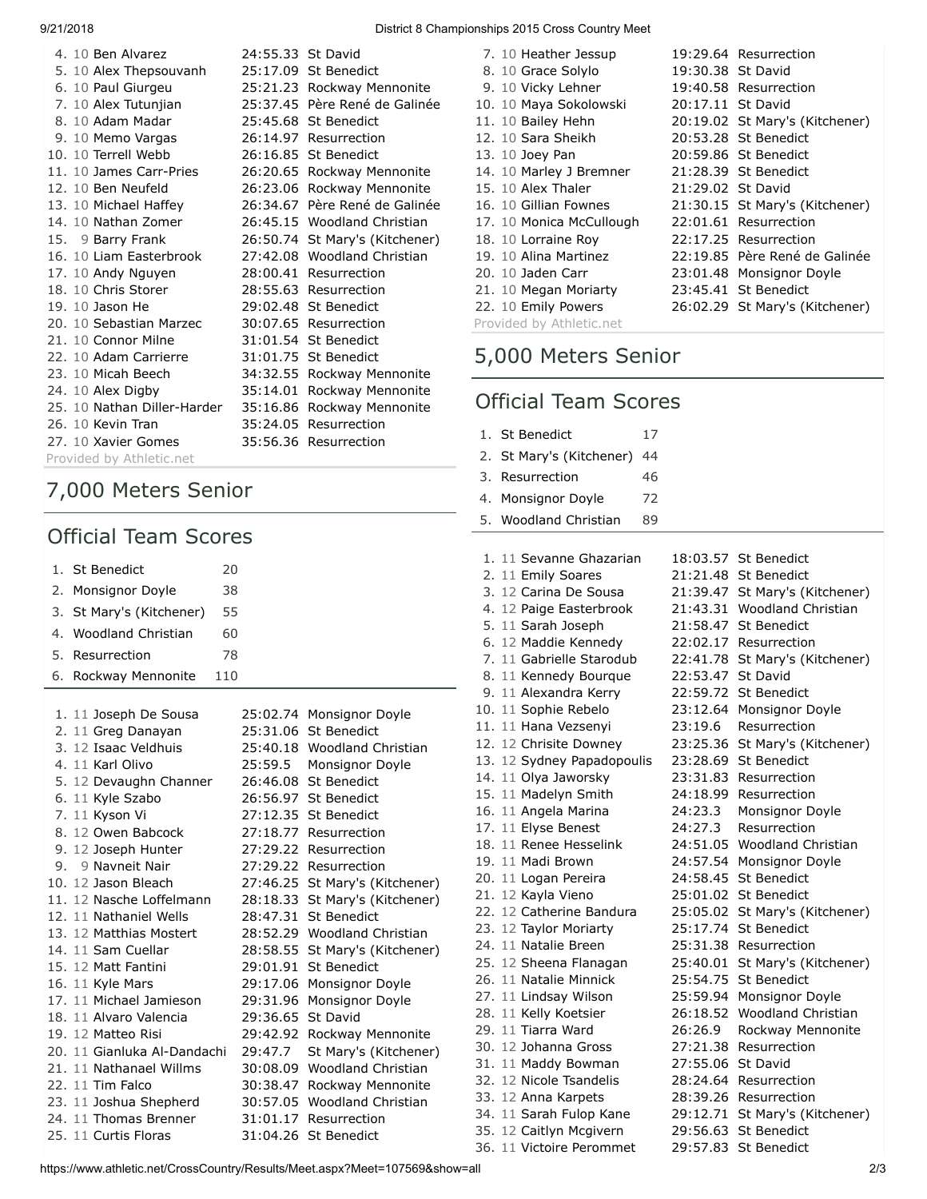| 4. 10 Ben Alvarez           | 24:55.33 St David |                                |
|-----------------------------|-------------------|--------------------------------|
| 5. 10 Alex Thepsouvanh      |                   | 25:17.09 St Benedict           |
| 6. 10 Paul Giurgeu          |                   | 25:21.23 Rockway Mennonite     |
| 7. 10 Alex Tutunjian        |                   | 25:37.45 Père René de Galinée  |
| 8. 10 Adam Madar            |                   | 25:45.68 St Benedict           |
| 9. 10 Memo Vargas           |                   | 26:14.97 Resurrection          |
| 10. 10 Terrell Webb         |                   | 26:16.85 St Benedict           |
| 11. 10 James Carr-Pries     | 26:20.65          | Rockway Mennonite              |
| 12. 10 Ben Neufeld          | 26:23.06          | Rockway Mennonite              |
| 13. 10 Michael Haffey       | 26:34.67          | Père René de Galinée           |
| 14. 10 Nathan Zomer         |                   | 26:45.15 Woodland Christian    |
| 15. 9 Barry Frank           |                   | 26:50.74 St Mary's (Kitchener) |
| 16. 10 Liam Easterbrook     |                   | 27:42.08 Woodland Christian    |
| 17. 10 Andy Nguyen          |                   | 28:00.41 Resurrection          |
| 18. 10 Chris Storer         |                   | 28:55.63 Resurrection          |
| 19. 10 Jason He             |                   | 29:02.48 St Benedict           |
| 20. 10 Sebastian Marzec     |                   | 30:07.65 Resurrection          |
| 21. 10 Connor Milne         |                   | 31:01.54 St Benedict           |
| 22. 10 Adam Carrierre       | 31:01.75          | <b>St Benedict</b>             |
| 23. 10 Micah Beech          | 34:32.55          | Rockway Mennonite              |
| 24. 10 Alex Digby           | 35:14.01          | Rockway Mennonite              |
| 25. 10 Nathan Diller-Harder | 35:16.86          | Rockway Mennonite              |
| 26. 10 Kevin Tran           | 35:24.05          | Resurrection                   |
| 27. 10 Xavier Gomes         |                   | 35:56.36 Resurrection          |
| Provided by Athletic.net    |                   |                                |

### 7,000 Meters Senior

### Official Team Scores

| 1. | <b>St Benedict</b><br>20    |          |                                |
|----|-----------------------------|----------|--------------------------------|
| 2. | 38<br>Monsignor Doyle       |          |                                |
| 3. | 55<br>St Mary's (Kitchener) |          |                                |
| 4. | 60<br>Woodland Christian    |          |                                |
| 5. | 78<br>Resurrection          |          |                                |
| 6. | Rockway Mennonite<br>110    |          |                                |
|    |                             |          |                                |
|    | 1. 11 Joseph De Sousa       |          | 25:02.74 Monsignor Doyle       |
|    | 2. 11 Greg Danayan          |          | 25:31.06 St Benedict           |
|    | 3. 12 Isaac Veldhuis        |          | 25:40.18 Woodland Christian    |
|    | 4. 11 Karl Olivo            | 25:59.5  | Monsignor Doyle                |
|    | 5. 12 Devaughn Channer      | 26:46.08 | St Benedict                    |
|    | 6. 11 Kyle Szabo            | 26:56.97 | <b>St Benedict</b>             |
|    | 7. 11 Kyson Vi              | 27:12.35 | <b>St Benedict</b>             |
|    | 8. 12 Owen Babcock          |          | 27:18.77 Resurrection          |
|    | 9. 12 Joseph Hunter         |          | 27:29.22 Resurrection          |
|    | 9. 9 Navneit Nair           |          | 27:29.22 Resurrection          |
|    | 10. 12 Jason Bleach         |          | 27:46.25 St Mary's (Kitchener) |
|    | 11. 12 Nasche Loffelmann    | 28:18.33 | St Mary's (Kitchener)          |
|    | 12. 11 Nathaniel Wells      | 28:47.31 | <b>St Benedict</b>             |
|    | 13. 12 Matthias Mostert     |          | 28:52.29 Woodland Christian    |
|    | 14. 11 Sam Cuellar          |          | 28:58.55 St Mary's (Kitchener) |
|    | 15. 12 Matt Fantini         | 29:01.91 | <b>St Benedict</b>             |
|    | 16. 11 Kyle Mars            | 29:17.06 | Monsignor Doyle                |
|    | 17. 11 Michael Jamieson     | 29:31.96 | Monsignor Doyle                |
|    | 18. 11 Alvaro Valencia      | 29:36.65 | St David                       |
|    | 19. 12 Matteo Risi          | 29:42.92 | Rockway Mennonite              |
|    | 20. 11 Gianluka Al-Dandachi | 29:47.7  | St Mary's (Kitchener)          |
|    | 21. 11 Nathanael Willms     | 30:08.09 | <b>Woodland Christian</b>      |
|    | 22. 11 Tim Falco            | 30:38.47 | Rockway Mennonite              |
|    | 23. 11 Joshua Shepherd      | 30:57.05 | <b>Woodland Christian</b>      |
|    | 24. 11 Thomas Brenner       | 31:01.17 | Resurrection                   |
|    | 25. 11 Curtis Floras        | 31:04.26 | <b>St Benedict</b>             |
|    |                             |          |                                |

#### 9/21/2018 District 8 Championships 2015 Cross Country Meet

| 7. 10 Heather Jessup     |                   | 19:29.64 Resurrection          |
|--------------------------|-------------------|--------------------------------|
| 8. 10 Grace Solylo       | 19:30.38 St David |                                |
| 9. 10 Vicky Lehner       |                   | 19:40.58 Resurrection          |
| 10. 10 Maya Sokolowski   | 20:17.11 St David |                                |
| 11. 10 Bailey Hehn       |                   | 20:19.02 St Mary's (Kitchener) |
| 12. 10 Sara Sheikh       |                   | 20:53.28 St Benedict           |
| 13. 10 Joey Pan          |                   | 20:59.86 St Benedict           |
| 14. 10 Marley J Bremner  |                   | 21:28.39 St Benedict           |
| 15. 10 Alex Thaler       | 21:29.02 St David |                                |
| 16. 10 Gillian Fownes    |                   | 21:30.15 St Mary's (Kitchener) |
| 17. 10 Monica McCullough |                   | 22:01.61 Resurrection          |
| 18. 10 Lorraine Roy      |                   | 22:17.25 Resurrection          |
| 19. 10 Alina Martinez    |                   | 22:19.85 Père René de Galinée  |
| 20. 10 Jaden Carr        |                   | 23:01.48 Monsignor Doyle       |
| 21. 10 Megan Moriarty    |                   | 23:45.41 St Benedict           |
| 22. 10 Emily Powers      |                   | 26:02.29 St Mary's (Kitchener) |
| Provided by Athletic.net |                   |                                |

### 5,000 Meters Senior

### Official Team Scores

|    | 1. St Benedict             | 17 |          |                                |
|----|----------------------------|----|----------|--------------------------------|
| 2. | St Mary's (Kitchener)      | 44 |          |                                |
| 3. | Resurrection               | 46 |          |                                |
| 4. | Monsignor Doyle            | 72 |          |                                |
| 5. | <b>Woodland Christian</b>  | 89 |          |                                |
|    |                            |    |          |                                |
|    | 1. 11 Sevanne Ghazarian    |    |          | 18:03.57 St Benedict           |
|    | 2. 11 Emily Soares         |    |          | 21:21.48 St Benedict           |
|    | 3. 12 Carina De Sousa      |    |          | 21:39.47 St Mary's (Kitchener) |
|    | 4. 12 Paige Easterbrook    |    |          | 21:43.31 Woodland Christian    |
|    | 5. 11 Sarah Joseph         |    |          | 21:58.47 St Benedict           |
|    | 6. 12 Maddie Kennedy       |    | 22:02.17 | Resurrection                   |
|    | 7. 11 Gabrielle Starodub   |    | 22:41.78 | St Mary's (Kitchener)          |
|    | 8. 11 Kennedy Bourque      |    | 22:53.47 | St David                       |
|    | 9. 11 Alexandra Kerry      |    | 22:59.72 | <b>St Benedict</b>             |
|    | 10. 11 Sophie Rebelo       |    | 23:12.64 | Monsignor Doyle                |
|    | 11. 11 Hana Vezsenyi       |    | 23:19.6  | Resurrection                   |
|    | 12. 12 Chrisite Downey     |    | 23:25.36 | St Mary's (Kitchener)          |
|    | 13. 12 Sydney Papadopoulis |    | 23:28.69 | <b>St Benedict</b>             |
|    | 14. 11 Olya Jaworsky       |    | 23:31.83 | Resurrection                   |
|    | 15. 11 Madelyn Smith       |    | 24:18.99 | Resurrection                   |
|    | 16. 11 Angela Marina       |    | 24:23.3  | Monsignor Doyle                |
|    | 17. 11 Elyse Benest        |    | 24:27.3  | Resurrection                   |
|    | 18. 11 Renee Hesselink     |    | 24:51.05 | Woodland Christian             |
|    | 19. 11 Madi Brown          |    | 24:57.54 | Monsignor Doyle                |
|    | 20. 11 Logan Pereira       |    | 24:58.45 | <b>St Benedict</b>             |
|    | 21. 12 Kayla Vieno         |    |          | 25:01.02 St Benedict           |
|    | 22. 12 Catherine Bandura   |    | 25:05.02 | St Mary's (Kitchener)          |
|    | 23. 12 Taylor Moriarty     |    | 25:17.74 | <b>St Benedict</b>             |
|    | 24. 11 Natalie Breen       |    | 25:31.38 | Resurrection                   |
|    | 25. 12 Sheena Flanagan     |    | 25:40.01 | St Mary's (Kitchener)          |
|    | 26. 11 Natalie Minnick     |    | 25:54.75 | <b>St Benedict</b>             |
|    | 27. 11 Lindsay Wilson      |    | 25:59.94 | Monsignor Doyle                |
|    | 28. 11 Kelly Koetsier      |    | 26:18.52 | Woodland Christian             |
|    | 29. 11 Tiarra Ward         |    | 26:26.9  | Rockway Mennonite              |
|    | 30. 12 Johanna Gross       |    | 27:21.38 | Resurrection                   |
|    | 31. 11 Maddy Bowman        |    | 27:55.06 | St David                       |
|    | 32. 12 Nicole Tsandelis    |    |          | 28:24.64 Resurrection          |
|    | 33. 12 Anna Karpets        |    | 28:39.26 | Resurrection                   |
|    | 34. 11 Sarah Fulop Kane    |    | 29:12.71 | St Mary's (Kitchener)          |
|    | 35. 12 Caitlyn Mcgivern    |    | 29:56.63 | <b>St Benedict</b>             |

36. 11 [Victoire Perommet](https://www.athletic.net/CrossCountry/Athlete.aspx?AID=8797930#tTNaN) [29:57.83](https://www.athletic.net/result/XwFxdOmsadx3K) [St Benedict](https://www.athletic.net/CrossCountry/School.aspx?SchoolID=27484)